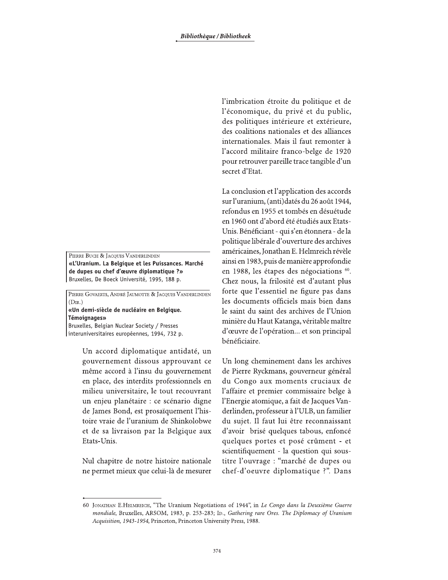PIERRE BUCH & JACOUES VANDERLINDEN «L'Uranium. La Belgique et les Puissances. Marché de dupes ou chef d'œuvre diplomatique ?» Bruxelles, De Boeck Université, 1995, 188 p.

PIERRE GOVAERTS, ANDRÉ JAUMOTTE & JACQUES VANDERLINDEN  $(DIR.)$ 

«Un demi-siècle de nucléaire en Belgique. **Témoignages»** 

Bruxelles, Belgian Nuclear Society / Presses interuniversitaires européennes, 1994, 732 p.

> Un accord diplomatique antidaté, un gouvernement dissous approuvant ce même accord à l'insu du gouvernement en place, des interdits professionnels en milieu universitaire, le tout recouvrant un enjeu planétaire : ce scénario digne de James Bond, est prosaïquement l'histoire vraie de l'uranium de Shinkolobwe et de sa livraison par la Belgique aux Etats-Unis.

> Nul chapitre de notre histoire nationale ne permet mieux que celui-là de mesurer

l'imbrication étroite du politique et de l'économique, du privé et du public, des politiques intérieure et extérieure, des coalitions nationales et des alliances internationales. Mais il faut remonter à l'accord militaire franco-belge de 1920 pour retrouver pareille trace tangible d'un secret d'Etat.

La conclusion et l'application des accords sur l'uranium, (anti) datés du 26 août 1944, refondus en 1955 et tombés en désuétude en 1960 ont d'abord été étudiés aux Etats-Unis. Bénéficiant - qui s'en étonnera - de la politique libérale d'ouverture des archives américaines, Jonathan E. Helmreich révèle ainsi en 1983, puis de manière approfondie en 1988, les étapes des négociations <sup>60</sup>. Chez nous, la frilosité est d'autant plus forte que l'essentiel ne figure pas dans les documents officiels mais bien dans le saint du saint des archives de l'Union minière du Haut Katanga, véritable maître d'œuvre de l'opération... et son principal bénéficiaire.

Un long cheminement dans les archives de Pierre Ryckmans, gouverneur général du Congo aux moments cruciaux de l'affaire et premier commissaire belge à l'Energie atomique, a fait de Jacques Vanderlinden, professeur à l'ULB, un familier du sujet. Il faut lui être reconnaissant d'avoir brisé quelques tabous, enfoncé quelques portes et posé crûment - et scientifiquement - la question qui soustitre l'ouvrage : "marché de dupes ou chef-d'oeuvre diplomatique ?". Dans

<sup>60</sup> JONATHAN E.HELMREICH, "The Uranium Negotiations of 1944", in Le Congo dans la Deuxième Guerre mondiale, Bruxelles, ARSOM, 1983, p. 253-283; ID., Gathering rare Ores. The Diplomacy of Uranium Acquisition, 1943-1954, Princeton, Princeton University Press, 1988.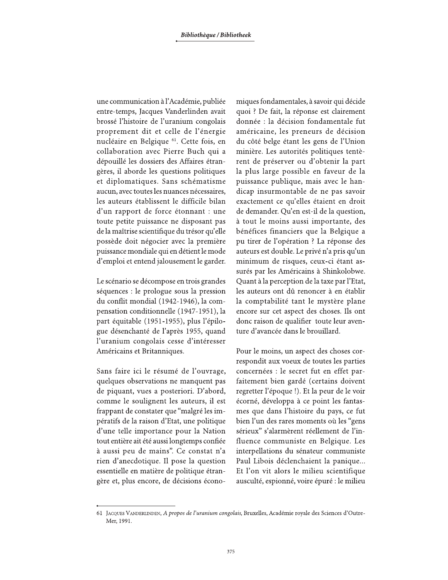une communication à l'Académie, publiée entre-temps, Jacques Vanderlinden avait brossé l'histoire de l'uranium congolais proprement dit et celle de l'énergie nucléaire en Belgique <sup>61</sup>. Cette fois, en collaboration avec Pierre Buch qui a dépouillé les dossiers des Affaires étrangères, il aborde les questions politiques et diplomatiques. Sans schématisme aucun, avec toutes les nuances nécessaires, les auteurs établissent le difficile bilan d'un rapport de force étonnant : une toute petite puissance ne disposant pas de la maîtrise scientifique du trésor qu'elle possède doit négocier avec la première puissance mondiale qui en détient le mode d'emploi et entend jalousement le garder.

Le scénario se décompose en trois grandes séquences : le prologue sous la pression du conflit mondial (1942-1946), la compensation conditionnelle (1947-1951), la part équitable (1951-1955), plus l'épilogue désenchanté de l'après 1955, quand l'uranium congolais cesse d'intéresser Américains et Britanniques.

Sans faire ici le résumé de l'ouvrage, quelques observations ne manquent pas de piquant, vues a posteriori. D'abord, comme le soulignent les auteurs, il est frappant de constater que "malgré les impératifs de la raison d'Etat, une politique d'une telle importance pour la Nation tout entière ait été aussi longtemps confiée à aussi peu de mains". Ce constat n'a rien d'anecdotique. Il pose la question essentielle en matière de politique étrangère et, plus encore, de décisions économiques fondamentales, à savoir qui décide quoi ? De fait, la réponse est clairement donnée : la décision fondamentale fut américaine, les preneurs de décision du côté belge étant les gens de l'Union minière. Les autorités politiques tentèrent de préserver ou d'obtenir la part la plus large possible en faveur de la puissance publique, mais avec le handicap insurmontable de ne pas savoir exactement ce qu'elles étaient en droit de demander. Qu'en est-il de la question, à tout le moins aussi importante, des bénéfices financiers que la Belgique a pu tirer de l'opération ? La réponse des auteurs est double. Le privé n'a pris qu'un minimum de risques, ceux-ci étant assurés par les Américains à Shinkolobwe. Quant à la perception de la taxe par l'Etat, les auteurs ont dû renoncer à en établir la comptabilité tant le mystère plane encore sur cet aspect des choses. Ils ont donc raison de qualifier toute leur aventure d'avancée dans le brouillard.

Pour le moins, un aspect des choses correspondit aux voeux de toutes les parties concernées : le secret fut en effet parfaitement bien gardé (certains doivent regretter l'époque !). Et la peur de le voir écorné, développa à ce point les fantasmes que dans l'histoire du pays, ce fut bien l'un des rares moments où les "gens sérieux" s'alarmèrent réellement de l'influence communiste en Belgique. Les interpellations du sénateur communiste Paul Libois déclenchaient la panique... Et l'on vit alors le milieu scientifique ausculté, espionné, voire épuré : le milieu

<sup>61</sup> JACQUES VANDERLINDEN, A propos de l'uranium congolais, Bruxelles, Académie royale des Sciences d'Outre-Mer, 1991.